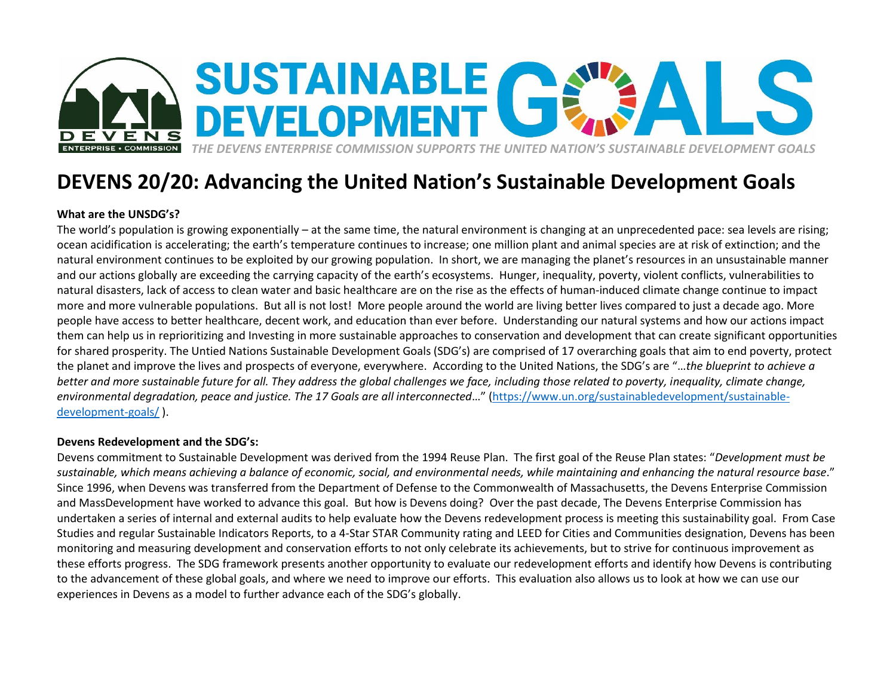

## **DEVENS 20/20: Advancing the United Nation's Sustainable Development Goals**

## **What are the UNSDG's?**

The world's population is growing exponentially – at the same time, the natural environment is changing at an unprecedented pace: sea levels are rising; ocean acidification is accelerating; the earth's temperature continues to increase; one million plant and animal species are at risk of extinction; and the natural environment continues to be exploited by our growing population. In short, we are managing the planet's resources in an unsustainable manner and our actions globally are exceeding the carrying capacity of the earth's ecosystems. Hunger, inequality, poverty, violent conflicts, vulnerabilities to natural disasters, lack of access to clean water and basic healthcare are on the rise as the effects of human-induced climate change continue to impact more and more vulnerable populations. But all is not lost! More people around the world are living better lives compared to just a decade ago. More people have access to better healthcare, decent work, and education than ever before. Understanding our natural systems and how our actions impact them can help us in reprioritizing and Investing in more sustainable approaches to conservation and development that can create significant opportunities for shared prosperity. The Untied Nations Sustainable Development Goals (SDG's) are comprised of 17 overarching goals that aim to end poverty, protect the planet and improve the lives and prospects of everyone, everywhere. According to the United Nations, the SDG's are "…*the blueprint to achieve a better and more sustainable future for all. They address the global challenges we face, including those related to poverty, inequality, climate change, environmental degradation, peace and justice. The 17 Goals are all interconnected*…" ([https://www.un.org/sustainabledevelopment/sustainable](https://www.un.org/sustainabledevelopment/sustainable-development-goals/)[development-goals/](https://www.un.org/sustainabledevelopment/sustainable-development-goals/) ).

## **Devens Redevelopment and the SDG's:**

Devens commitment to Sustainable Development was derived from the 1994 Reuse Plan. The first goal of the Reuse Plan states: "*Development must be sustainable, which means achieving a balance of economic, social, and environmental needs, while maintaining and enhancing the natural resource base*." Since 1996, when Devens was transferred from the Department of Defense to the Commonwealth of Massachusetts, the Devens Enterprise Commission and MassDevelopment have worked to advance this goal. But how is Devens doing? Over the past decade, The Devens Enterprise Commission has undertaken a series of internal and external audits to help evaluate how the Devens redevelopment process is meeting this sustainability goal. From Case Studies and regular Sustainable Indicators Reports, to a 4-Star STAR Community rating and LEED for Cities and Communities designation, Devens has been monitoring and measuring development and conservation efforts to not only celebrate its achievements, but to strive for continuous improvement as these efforts progress. The SDG framework presents another opportunity to evaluate our redevelopment efforts and identify how Devens is contributing to the advancement of these global goals, and where we need to improve our efforts. This evaluation also allows us to look at how we can use our experiences in Devens as a model to further advance each of the SDG's globally.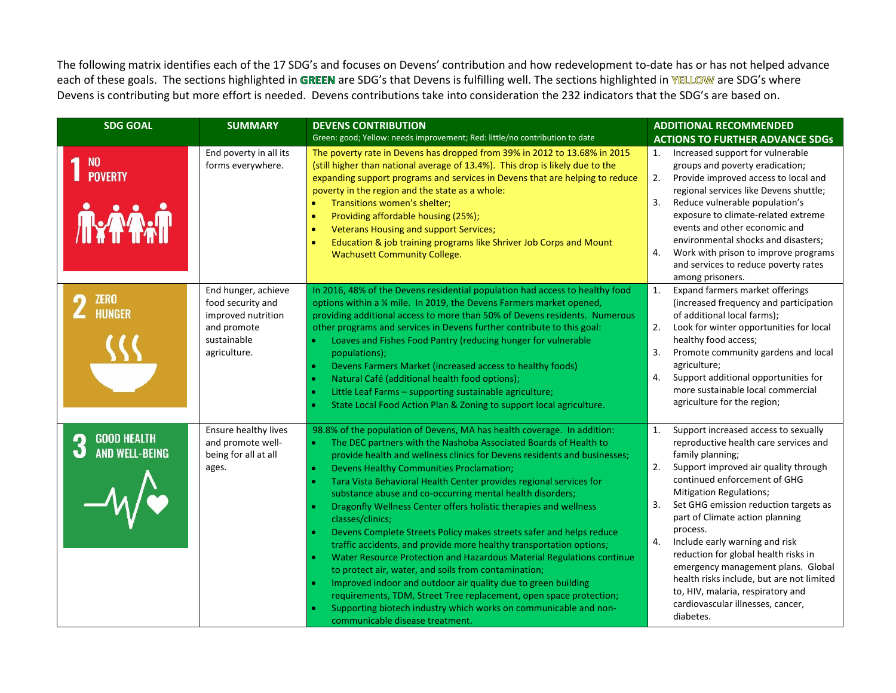The following matrix identifies each of the 17 SDG's and focuses on Devens' contribution and how redevelopment to-date has or has not helped advance each of these goals. The sections highlighted in GREEN are SDG's that Devens is fulfilling well. The sections highlighted in YELLOW are SDG's where Devens is contributing but more effort is needed. Devens contributions take into consideration the 232 indicators that the SDG's are based on.

| <b>SDG GOAL</b>                                | <b>SUMMARY</b>                                                                                               | <b>DEVENS CONTRIBUTION</b>                                                                                                                                                                                                                                                                                                                                                                                                                                                                                                                                                                                                                                                                                                                                                                                                                                                                                                                                                                                                                                                      | <b>ADDITIONAL RECOMMENDED</b>                                                                                                                                                                                                                                                                                                                                                                                                                                                                                                                                                   |
|------------------------------------------------|--------------------------------------------------------------------------------------------------------------|---------------------------------------------------------------------------------------------------------------------------------------------------------------------------------------------------------------------------------------------------------------------------------------------------------------------------------------------------------------------------------------------------------------------------------------------------------------------------------------------------------------------------------------------------------------------------------------------------------------------------------------------------------------------------------------------------------------------------------------------------------------------------------------------------------------------------------------------------------------------------------------------------------------------------------------------------------------------------------------------------------------------------------------------------------------------------------|---------------------------------------------------------------------------------------------------------------------------------------------------------------------------------------------------------------------------------------------------------------------------------------------------------------------------------------------------------------------------------------------------------------------------------------------------------------------------------------------------------------------------------------------------------------------------------|
|                                                |                                                                                                              | Green: good; Yellow: needs improvement; Red: little/no contribution to date                                                                                                                                                                                                                                                                                                                                                                                                                                                                                                                                                                                                                                                                                                                                                                                                                                                                                                                                                                                                     | <b>ACTIONS TO FURTHER ADVANCE SDGs</b>                                                                                                                                                                                                                                                                                                                                                                                                                                                                                                                                          |
| <b>NO</b><br><b>POVERTY</b><br><b>Ne FARIT</b> | End poverty in all its<br>forms everywhere.                                                                  | The poverty rate in Devens has dropped from 39% in 2012 to 13.68% in 2015<br>(still higher than national average of 13.4%). This drop is likely due to the<br>expanding support programs and services in Devens that are helping to reduce<br>poverty in the region and the state as a whole:<br>Transitions women's shelter;<br>$\bullet$<br>Providing affordable housing (25%);<br>$\bullet$<br><b>Veterans Housing and support Services;</b><br>$\bullet$<br>Education & job training programs like Shriver Job Corps and Mount<br>$\bullet$<br><b>Wachusett Community College.</b>                                                                                                                                                                                                                                                                                                                                                                                                                                                                                          | Increased support for vulnerable<br>1.<br>groups and poverty eradication;<br>Provide improved access to local and<br>2.<br>regional services like Devens shuttle;<br>3.<br>Reduce vulnerable population's<br>exposure to climate-related extreme<br>events and other economic and<br>environmental shocks and disasters;<br>4.<br>Work with prison to improve programs<br>and services to reduce poverty rates<br>among prisoners.                                                                                                                                              |
| <b>ZERO</b><br>n<br><b>HUNGER</b>              | End hunger, achieve<br>food security and<br>improved nutrition<br>and promote<br>sustainable<br>agriculture. | In 2016, 48% of the Devens residential population had access to healthy food<br>options within a 1/4 mile. In 2019, the Devens Farmers market opened,<br>providing additional access to more than 50% of Devens residents. Numerous<br>other programs and services in Devens further contribute to this goal:<br>Loaves and Fishes Food Pantry (reducing hunger for vulnerable<br>populations);<br>Devens Farmers Market (increased access to healthy foods)<br>Natural Café (additional health food options);<br>Little Leaf Farms - supporting sustainable agriculture;<br>$\bullet$<br>State Local Food Action Plan & Zoning to support local agriculture.                                                                                                                                                                                                                                                                                                                                                                                                                   | 1.<br>Expand farmers market offerings<br>(increased frequency and participation<br>of additional local farms);<br>2.<br>Look for winter opportunities for local<br>healthy food access;<br>Promote community gardens and local<br>3.<br>agriculture;<br>Support additional opportunities for<br>4.<br>more sustainable local commercial<br>agriculture for the region;                                                                                                                                                                                                          |
| <b>GOOD HEALTH<br/>AND WELL-BEING</b>          | Ensure healthy lives<br>and promote well-<br>being for all at all<br>ages.                                   | 98.8% of the population of Devens, MA has health coverage. In addition:<br>The DEC partners with the Nashoba Associated Boards of Health to<br>provide health and wellness clinics for Devens residents and businesses;<br>Devens Healthy Communities Proclamation;<br>$\bullet$<br>Tara Vista Behavioral Health Center provides regional services for<br>$\bullet$<br>substance abuse and co-occurring mental health disorders;<br>Dragonfly Wellness Center offers holistic therapies and wellness<br>$\bullet$<br>classes/clinics;<br>Devens Complete Streets Policy makes streets safer and helps reduce<br>traffic accidents, and provide more healthy transportation options;<br>Water Resource Protection and Hazardous Material Regulations continue<br>to protect air, water, and soils from contamination;<br>Improved indoor and outdoor air quality due to green building<br>$\bullet$<br>requirements, TDM, Street Tree replacement, open space protection;<br>Supporting biotech industry which works on communicable and non-<br>communicable disease treatment. | 1.<br>Support increased access to sexually<br>reproductive health care services and<br>family planning;<br>2.<br>Support improved air quality through<br>continued enforcement of GHG<br><b>Mitigation Regulations;</b><br>Set GHG emission reduction targets as<br>3.<br>part of Climate action planning<br>process.<br>4.<br>Include early warning and risk<br>reduction for global health risks in<br>emergency management plans. Global<br>health risks include, but are not limited<br>to, HIV, malaria, respiratory and<br>cardiovascular illnesses, cancer,<br>diabetes. |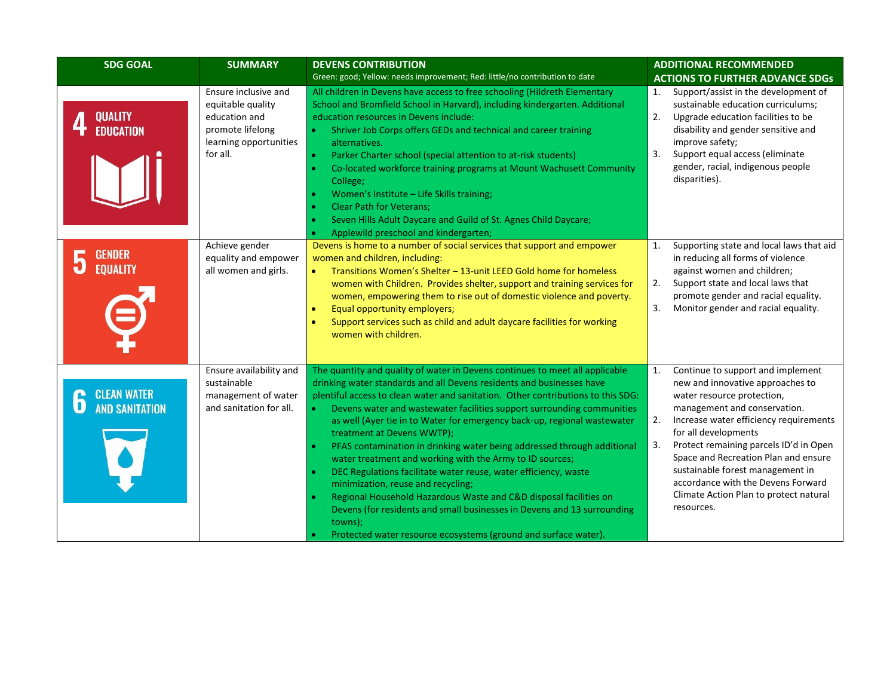| <b>SDG GOAL</b>                                           | <b>SUMMARY</b>                                                                                                                                                                         | <b>DEVENS CONTRIBUTION</b>                                                                                                                                                                                                                                                                                                                                                                                                                                                                                                                                                                                                                                                                                                                                                                                                                                                                                               | <b>ADDITIONAL RECOMMENDED</b>                                                                                                                                                                                                                                                                                                                                                                                                               |  |
|-----------------------------------------------------------|----------------------------------------------------------------------------------------------------------------------------------------------------------------------------------------|--------------------------------------------------------------------------------------------------------------------------------------------------------------------------------------------------------------------------------------------------------------------------------------------------------------------------------------------------------------------------------------------------------------------------------------------------------------------------------------------------------------------------------------------------------------------------------------------------------------------------------------------------------------------------------------------------------------------------------------------------------------------------------------------------------------------------------------------------------------------------------------------------------------------------|---------------------------------------------------------------------------------------------------------------------------------------------------------------------------------------------------------------------------------------------------------------------------------------------------------------------------------------------------------------------------------------------------------------------------------------------|--|
|                                                           |                                                                                                                                                                                        | Green: good; Yellow: needs improvement; Red: little/no contribution to date                                                                                                                                                                                                                                                                                                                                                                                                                                                                                                                                                                                                                                                                                                                                                                                                                                              | <b>ACTIONS TO FURTHER ADVANCE SDGs</b>                                                                                                                                                                                                                                                                                                                                                                                                      |  |
| <b>QUALITY<br/>EDUCATION</b><br><b>GENDER</b><br>EQUALITY | Ensure inclusive and<br>equitable quality<br>education and<br>promote lifelong<br>learning opportunities<br>for all.<br>Achieve gender<br>equality and empower<br>all women and girls. | All children in Devens have access to free schooling (Hildreth Elementary<br>School and Bromfield School in Harvard), including kindergarten. Additional<br>education resources in Devens include:<br>Shriver Job Corps offers GEDs and technical and career training<br>$\bullet$<br>alternatives.<br>Parker Charter school (special attention to at-risk students)<br>$\bullet$<br>Co-located workforce training programs at Mount Wachusett Community<br>College;<br>Women's Institute - Life Skills training;<br><b>Clear Path for Veterans:</b><br>Seven Hills Adult Daycare and Guild of St. Agnes Child Daycare;<br>Applewild preschool and kindergarten;<br>Devens is home to a number of social services that support and empower<br>women and children, including:<br>Transitions Women's Shelter - 13-unit LEED Gold home for homeless                                                                        | Support/assist in the development of<br>1.<br>sustainable education curriculums;<br>2.<br>Upgrade education facilities to be<br>disability and gender sensitive and<br>improve safety;<br>3.<br>Support equal access (eliminate<br>gender, racial, indigenous people<br>disparities).<br>1.<br>Supporting state and local laws that aid<br>in reducing all forms of violence<br>against women and children;                                 |  |
|                                                           |                                                                                                                                                                                        | women with Children. Provides shelter, support and training services for<br>women, empowering them to rise out of domestic violence and poverty.<br>Equal opportunity employers;<br>$\bullet$<br>Support services such as child and adult daycare facilities for working<br>$\bullet$<br>women with children.                                                                                                                                                                                                                                                                                                                                                                                                                                                                                                                                                                                                            | 2.<br>Support state and local laws that<br>promote gender and racial equality.<br>3.<br>Monitor gender and racial equality.                                                                                                                                                                                                                                                                                                                 |  |
| <b>CLEAN WATER<br/>AND SANITATION</b>                     | Ensure availability and<br>sustainable<br>management of water<br>and sanitation for all.                                                                                               | The quantity and quality of water in Devens continues to meet all applicable<br>drinking water standards and all Devens residents and businesses have<br>plentiful access to clean water and sanitation. Other contributions to this SDG:<br>Devens water and wastewater facilities support surrounding communities<br>$\bullet$<br>as well (Ayer tie in to Water for emergency back-up, regional wastewater<br>treatment at Devens WWTP);<br>PFAS contamination in drinking water being addressed through additional<br>water treatment and working with the Army to ID sources;<br>DEC Regulations facilitate water reuse, water efficiency, waste<br>minimization, reuse and recycling;<br>Regional Household Hazardous Waste and C&D disposal facilities on<br>Devens (for residents and small businesses in Devens and 13 surrounding<br>towns);<br>Protected water resource ecosystems (ground and surface water). | 1.<br>Continue to support and implement<br>new and innovative approaches to<br>water resource protection,<br>management and conservation.<br>2.<br>Increase water efficiency requirements<br>for all developments<br>3.<br>Protect remaining parcels ID'd in Open<br>Space and Recreation Plan and ensure<br>sustainable forest management in<br>accordance with the Devens Forward<br>Climate Action Plan to protect natural<br>resources. |  |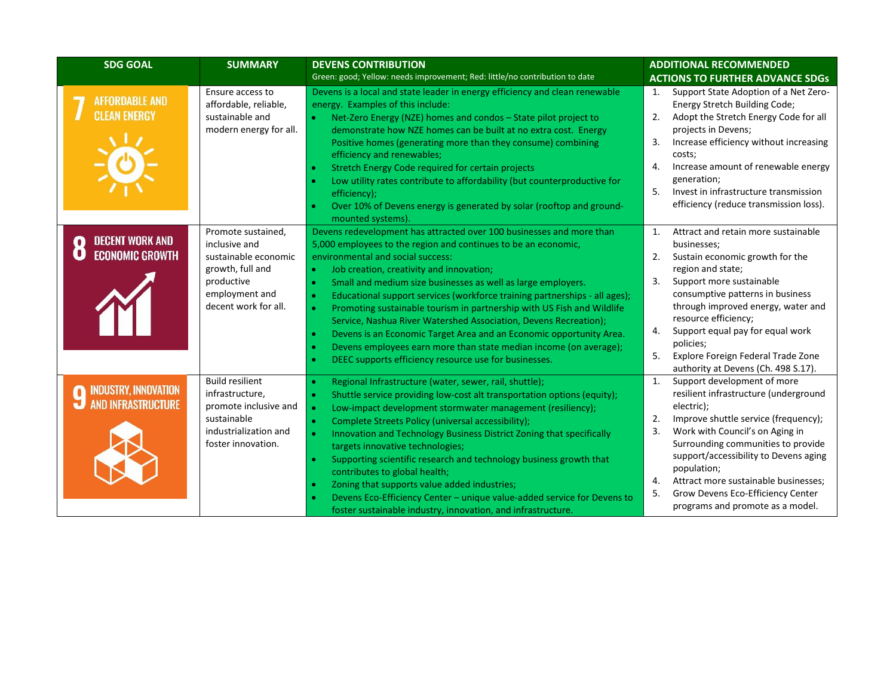| <b>SDG GOAL</b>                                               | <b>SUMMARY</b>                                                                                                                          | <b>DEVENS CONTRIBUTION</b>                                                                                                                                                                                                                                                                                                                                                                                                                                                                                                                                                                                                                                                                                                                                                                             | <b>ADDITIONAL RECOMMENDED</b>                                                                                                                                                                                                                                                                                                                                                                                                      |
|---------------------------------------------------------------|-----------------------------------------------------------------------------------------------------------------------------------------|--------------------------------------------------------------------------------------------------------------------------------------------------------------------------------------------------------------------------------------------------------------------------------------------------------------------------------------------------------------------------------------------------------------------------------------------------------------------------------------------------------------------------------------------------------------------------------------------------------------------------------------------------------------------------------------------------------------------------------------------------------------------------------------------------------|------------------------------------------------------------------------------------------------------------------------------------------------------------------------------------------------------------------------------------------------------------------------------------------------------------------------------------------------------------------------------------------------------------------------------------|
|                                                               |                                                                                                                                         | Green: good; Yellow: needs improvement; Red: little/no contribution to date                                                                                                                                                                                                                                                                                                                                                                                                                                                                                                                                                                                                                                                                                                                            | <b>ACTIONS TO FURTHER ADVANCE SDGs</b>                                                                                                                                                                                                                                                                                                                                                                                             |
| <b>AFFORDABLE AND</b><br><b>CLEAN ENERGY</b>                  | Ensure access to<br>affordable, reliable,<br>sustainable and<br>modern energy for all.                                                  | Devens is a local and state leader in energy efficiency and clean renewable<br>energy. Examples of this include:<br>Net-Zero Energy (NZE) homes and condos - State pilot project to<br>demonstrate how NZE homes can be built at no extra cost. Energy<br>Positive homes (generating more than they consume) combining<br>efficiency and renewables;<br>Stretch Energy Code required for certain projects<br>Low utility rates contribute to affordability (but counterproductive for<br>efficiency);<br>Over 10% of Devens energy is generated by solar (rooftop and ground-<br>mounted systems).                                                                                                                                                                                                     | Support State Adoption of a Net Zero-<br>1.<br>Energy Stretch Building Code;<br>2.<br>Adopt the Stretch Energy Code for all<br>projects in Devens;<br>3.<br>Increase efficiency without increasing<br>costs;<br>$\mathbf{4}$<br>Increase amount of renewable energy<br>generation;<br>5.<br>Invest in infrastructure transmission<br>efficiency (reduce transmission loss).                                                        |
| <b>DECENT WORK AND</b><br><b>ECONOMIC GROWTH</b>              | Promote sustained,<br>inclusive and<br>sustainable economic<br>growth, full and<br>productive<br>employment and<br>decent work for all. | Devens redevelopment has attracted over 100 businesses and more than<br>5,000 employees to the region and continues to be an economic,<br>environmental and social success:<br>Job creation, creativity and innovation;<br>$\bullet$<br>Small and medium size businesses as well as large employers.<br>$\bullet$<br>Educational support services (workforce training partnerships - all ages);<br>$\bullet$<br>Promoting sustainable tourism in partnership with US Fish and Wildlife<br>Service, Nashua River Watershed Association, Devens Recreation);<br>Devens is an Economic Target Area and an Economic opportunity Area.<br>$\bullet$<br>Devens employees earn more than state median income (on average);<br>$\bullet$<br>DEEC supports efficiency resource use for businesses.<br>$\bullet$ | $\mathbf{1}$ .<br>Attract and retain more sustainable<br>businesses;<br>2.<br>Sustain economic growth for the<br>region and state;<br>3.<br>Support more sustainable<br>consumptive patterns in business<br>through improved energy, water and<br>resource efficiency;<br>4.<br>Support equal pay for equal work<br>policies;<br>5.<br>Explore Foreign Federal Trade Zone<br>authority at Devens (Ch. 498 S.17).                   |
| <b>INDUSTRY, INNOVATION</b><br><b>AND INFRASTRUCTURE</b><br>۳ | <b>Build resilient</b><br>infrastructure,<br>promote inclusive and<br>sustainable<br>industrialization and<br>foster innovation.        | Regional Infrastructure (water, sewer, rail, shuttle);<br>$\bullet$<br>Shuttle service providing low-cost alt transportation options (equity);<br>$\bullet$<br>Low-impact development stormwater management (resiliency);<br>$\bullet$<br>Complete Streets Policy (universal accessibility);<br>$\bullet$<br>Innovation and Technology Business District Zoning that specifically<br>$\bullet$<br>targets innovative technologies;<br>Supporting scientific research and technology business growth that<br>$\bullet$<br>contributes to global health;<br>Zoning that supports value added industries;<br>Devens Eco-Efficiency Center - unique value-added service for Devens to<br>foster sustainable industry, innovation, and infrastructure.                                                      | $\mathbf{1}$<br>Support development of more<br>resilient infrastructure (underground<br>electric);<br>2.<br>Improve shuttle service (frequency);<br>$\overline{3}$ .<br>Work with Council's on Aging in<br>Surrounding communities to provide<br>support/accessibility to Devens aging<br>population;<br>Attract more sustainable businesses;<br>4.<br>5.<br>Grow Devens Eco-Efficiency Center<br>programs and promote as a model. |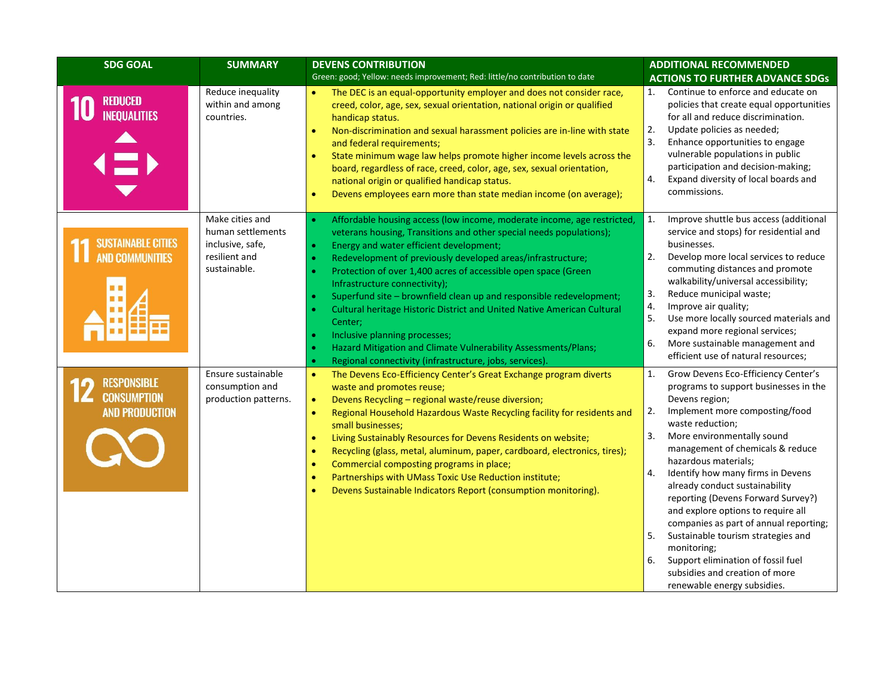| <b>SDG GOAL</b>                                                   | <b>SUMMARY</b>                                                                            | <b>DEVENS CONTRIBUTION</b>                                                                                                                                                                                                                                                                                                                                                                                                                                                                                                                                                                                                                                                                                                    | <b>ADDITIONAL RECOMMENDED</b>                                                                                                                                                                                                                                                                                                                                                                                                                                                                                                                                                                                                               |
|-------------------------------------------------------------------|-------------------------------------------------------------------------------------------|-------------------------------------------------------------------------------------------------------------------------------------------------------------------------------------------------------------------------------------------------------------------------------------------------------------------------------------------------------------------------------------------------------------------------------------------------------------------------------------------------------------------------------------------------------------------------------------------------------------------------------------------------------------------------------------------------------------------------------|---------------------------------------------------------------------------------------------------------------------------------------------------------------------------------------------------------------------------------------------------------------------------------------------------------------------------------------------------------------------------------------------------------------------------------------------------------------------------------------------------------------------------------------------------------------------------------------------------------------------------------------------|
|                                                                   |                                                                                           | Green: good; Yellow: needs improvement; Red: little/no contribution to date                                                                                                                                                                                                                                                                                                                                                                                                                                                                                                                                                                                                                                                   | <b>ACTIONS TO FURTHER ADVANCE SDGs</b>                                                                                                                                                                                                                                                                                                                                                                                                                                                                                                                                                                                                      |
| <b>REDUCED</b><br><b>INEQUALITIES</b>                             | Reduce inequality<br>within and among<br>countries.                                       | The DEC is an equal-opportunity employer and does not consider race,<br>creed, color, age, sex, sexual orientation, national origin or qualified<br>handicap status.<br>Non-discrimination and sexual harassment policies are in-line with state<br>$\bullet$<br>and federal requirements;<br>State minimum wage law helps promote higher income levels across the<br>$\bullet$<br>board, regardless of race, creed, color, age, sex, sexual orientation,<br>national origin or qualified handicap status.<br>Devens employees earn more than state median income (on average);<br>$\bullet$                                                                                                                                  | Continue to enforce and educate on<br>1.<br>policies that create equal opportunities<br>for all and reduce discrimination.<br>2.<br>Update policies as needed;<br>3.<br>Enhance opportunities to engage<br>vulnerable populations in public<br>participation and decision-making;<br>Expand diversity of local boards and<br>4.<br>commissions.                                                                                                                                                                                                                                                                                             |
| <b>SUSTAINABLE CITIES</b><br><b>AND COMMUNITIES</b><br><b>. .</b> | Make cities and<br>human settlements<br>inclusive, safe,<br>resilient and<br>sustainable. | Affordable housing access (low income, moderate income, age restricted,<br>$\bullet$<br>veterans housing, Transitions and other special needs populations);<br>Energy and water efficient development;<br>$\bullet$<br>Redevelopment of previously developed areas/infrastructure;<br>Protection of over 1,400 acres of accessible open space (Green<br>Infrastructure connectivity);<br>Superfund site - brownfield clean up and responsible redevelopment;<br>Cultural heritage Historic District and United Native American Cultural<br>Center;<br>Inclusive planning processes;<br>Hazard Mitigation and Climate Vulnerability Assessments/Plans;<br>Regional connectivity (infrastructure, jobs, services).<br>$\bullet$ | 1.<br>Improve shuttle bus access (additional<br>service and stops) for residential and<br>businesses.<br>2.<br>Develop more local services to reduce<br>commuting distances and promote<br>walkability/universal accessibility;<br>Reduce municipal waste;<br>3.<br>4.<br>Improve air quality;<br>5.<br>Use more locally sourced materials and<br>expand more regional services;<br>More sustainable management and<br>6.<br>efficient use of natural resources;                                                                                                                                                                            |
| <b>RESPONSIBLE</b><br><b>CONSUMPTION</b><br><b>AND PRODUCTION</b> | Ensure sustainable<br>consumption and<br>production patterns.                             | The Devens Eco-Efficiency Center's Great Exchange program diverts<br>$\bullet$<br>waste and promotes reuse;<br>Devens Recycling - regional waste/reuse diversion;<br>$\bullet$<br>Regional Household Hazardous Waste Recycling facility for residents and<br>$\bullet$<br>small businesses;<br>Living Sustainably Resources for Devens Residents on website;<br>$\bullet$<br>Recycling (glass, metal, aluminum, paper, cardboard, electronics, tires);<br>$\bullet$<br>Commercial composting programs in place;<br>$\bullet$<br>Partnerships with UMass Toxic Use Reduction institute;<br>$\bullet$<br>Devens Sustainable Indicators Report (consumption monitoring).<br>$\bullet$                                            | 1.<br>Grow Devens Eco-Efficiency Center's<br>programs to support businesses in the<br>Devens region;<br>Implement more composting/food<br>2.<br>waste reduction;<br>3.<br>More environmentally sound<br>management of chemicals & reduce<br>hazardous materials;<br>Identify how many firms in Devens<br>4.<br>already conduct sustainability<br>reporting (Devens Forward Survey?)<br>and explore options to require all<br>companies as part of annual reporting;<br>Sustainable tourism strategies and<br>5.<br>monitoring;<br>Support elimination of fossil fuel<br>6.<br>subsidies and creation of more<br>renewable energy subsidies. |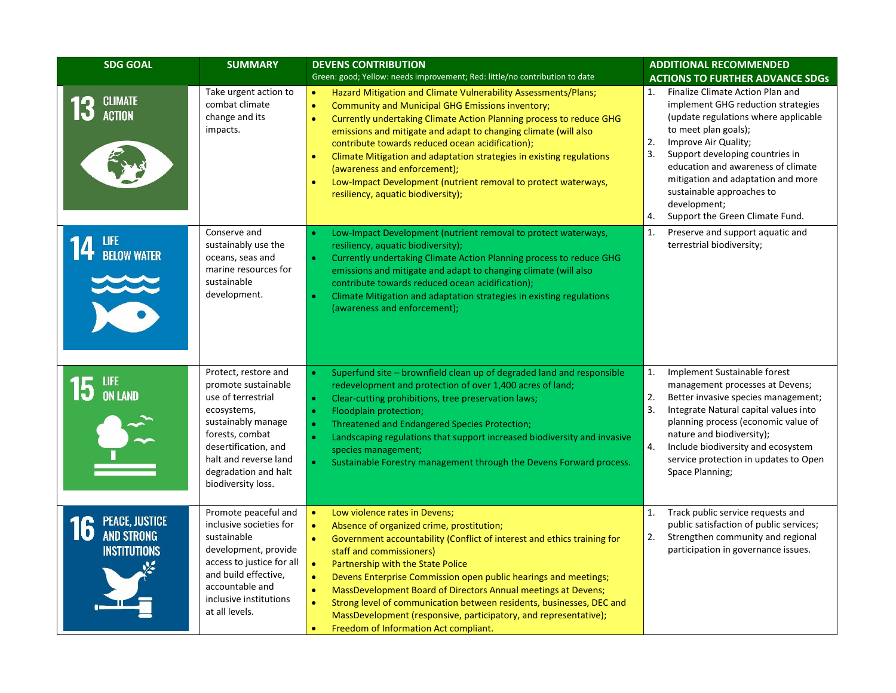| <b>SDG GOAL</b>                                                         | <b>SUMMARY</b>                                                                                                                                                                                                           | <b>DEVENS CONTRIBUTION</b><br>Green: good; Yellow: needs improvement; Red: little/no contribution to date                                                                                                                                                                                                                                                                                                                                                                                                                                                                                                                                               | <b>ADDITIONAL RECOMMENDED</b><br><b>ACTIONS TO FURTHER ADVANCE SDGs</b>                                                                                                                                                                                                                                                                                                               |
|-------------------------------------------------------------------------|--------------------------------------------------------------------------------------------------------------------------------------------------------------------------------------------------------------------------|---------------------------------------------------------------------------------------------------------------------------------------------------------------------------------------------------------------------------------------------------------------------------------------------------------------------------------------------------------------------------------------------------------------------------------------------------------------------------------------------------------------------------------------------------------------------------------------------------------------------------------------------------------|---------------------------------------------------------------------------------------------------------------------------------------------------------------------------------------------------------------------------------------------------------------------------------------------------------------------------------------------------------------------------------------|
| <b>CLIMATE</b><br><b>ACTION</b>                                         | Take urgent action to<br>combat climate<br>change and its<br>impacts.                                                                                                                                                    | Hazard Mitigation and Climate Vulnerability Assessments/Plans;<br>$\bullet$<br>$\bullet$<br><b>Community and Municipal GHG Emissions inventory;</b><br>Currently undertaking Climate Action Planning process to reduce GHG<br>$\bullet$<br>emissions and mitigate and adapt to changing climate (will also<br>contribute towards reduced ocean acidification);<br>Climate Mitigation and adaptation strategies in existing regulations<br>$\bullet$<br>(awareness and enforcement);<br>Low-Impact Development (nutrient removal to protect waterways,<br>$\bullet$<br>resiliency, aquatic biodiversity);                                                | Finalize Climate Action Plan and<br>1.<br>implement GHG reduction strategies<br>(update regulations where applicable<br>to meet plan goals);<br>2.<br>Improve Air Quality;<br>3.<br>Support developing countries in<br>education and awareness of climate<br>mitigation and adaptation and more<br>sustainable approaches to<br>development;<br>Support the Green Climate Fund.<br>4. |
| <b>14</b> LIFE BELOW WATER                                              | Conserve and<br>sustainably use the<br>oceans, seas and<br>marine resources for<br>sustainable<br>development.                                                                                                           | Low-Impact Development (nutrient removal to protect waterways,<br>$\bullet$<br>resiliency, aquatic biodiversity);<br>Currently undertaking Climate Action Planning process to reduce GHG<br>$\bullet$<br>emissions and mitigate and adapt to changing climate (will also<br>contribute towards reduced ocean acidification);<br>Climate Mitigation and adaptation strategies in existing regulations<br>(awareness and enforcement);                                                                                                                                                                                                                    | 1.<br>Preserve and support aquatic and<br>terrestrial biodiversity;                                                                                                                                                                                                                                                                                                                   |
| $15$ an land                                                            | Protect, restore and<br>promote sustainable<br>use of terrestrial<br>ecosystems,<br>sustainably manage<br>forests, combat<br>desertification, and<br>halt and reverse land<br>degradation and halt<br>biodiversity loss. | Superfund site - brownfield clean up of degraded land and responsible<br>$\bullet$<br>redevelopment and protection of over 1,400 acres of land;<br>Clear-cutting prohibitions, tree preservation laws;<br>$\bullet$<br>Floodplain protection;<br>$\bullet$<br>Threatened and Endangered Species Protection;<br>$\bullet$<br>$\bullet$<br>Landscaping regulations that support increased biodiversity and invasive<br>species management;<br>Sustainable Forestry management through the Devens Forward process.<br>$\bullet$                                                                                                                            | 1.<br>Implement Sustainable forest<br>management processes at Devens;<br>2.<br>Better invasive species management;<br>3.<br>Integrate Natural capital values into<br>planning process (economic value of<br>nature and biodiversity);<br>4.<br>Include biodiversity and ecosystem<br>service protection in updates to Open<br>Space Planning;                                         |
| <b>PEACE, JUSTICE</b><br>16<br><b>AND STRONG</b><br><b>INSTITUTIONS</b> | Promote peaceful and<br>inclusive societies for<br>sustainable<br>development, provide<br>access to justice for all<br>and build effective,<br>accountable and<br>inclusive institutions<br>at all levels.               | $\bullet$<br>Low violence rates in Devens;<br>Absence of organized crime, prostitution;<br>$\bullet$<br>Government accountability (Conflict of interest and ethics training for<br>$\bullet$<br>staff and commissioners)<br>$\bullet$<br>Partnership with the State Police<br>$\bullet$<br>Devens Enterprise Commission open public hearings and meetings;<br>MassDevelopment Board of Directors Annual meetings at Devens;<br>$\bullet$<br>$\bullet$<br>Strong level of communication between residents, businesses, DEC and<br>MassDevelopment (responsive, participatory, and representative);<br>Freedom of Information Act compliant.<br>$\bullet$ | Track public service requests and<br>1.<br>public satisfaction of public services;<br>Strengthen community and regional<br>2.<br>participation in governance issues.                                                                                                                                                                                                                  |